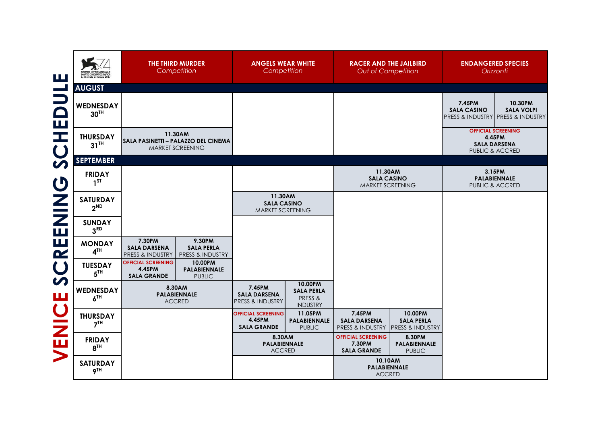| ш                          |                                       | THE THIRD MURDER<br>Competition                                                                       |  | <b>ANGELS WEAR WHITE</b><br>Competition                   |                                                            | <b>RACER AND THE JAILBIRD</b><br>Out of Competition          |                                                             | <b>ENDANGERED SPECIES</b><br>Orizzonti           |                                                                               |
|----------------------------|---------------------------------------|-------------------------------------------------------------------------------------------------------|--|-----------------------------------------------------------|------------------------------------------------------------|--------------------------------------------------------------|-------------------------------------------------------------|--------------------------------------------------|-------------------------------------------------------------------------------|
| $\mathcal{L}$              | <b>AUGUST</b>                         |                                                                                                       |  |                                                           |                                                            |                                                              |                                                             |                                                  |                                                                               |
| $\equiv$<br>$\Box$<br>Ш    | WEDNESDAY<br>$30^{\text{TH}}$         |                                                                                                       |  |                                                           |                                                            |                                                              |                                                             | 7.45PM<br><b>SALA CASINO</b>                     | 10.30PM<br><b>SALA VOLPI</b><br>PRESS & INDUSTRY PRESS & INDUSTRY             |
| H<br>$\overline{C}$        | <b>THURSDAY</b><br>$31$ <sup>TH</sup> | 11.30AM<br>SALA PASINETTI - PALAZZO DEL CINEMA<br>MARKET SCREENING                                    |  |                                                           |                                                            |                                                              |                                                             |                                                  | <b>OFFICIAL SCREENING</b><br>4.45PM<br><b>SALA DARSENA</b><br>PUBLIC & ACCRED |
| $\boldsymbol{\omega}$      | <b>SEPTEMBER</b>                      |                                                                                                       |  |                                                           |                                                            |                                                              |                                                             |                                                  |                                                                               |
| $\boldsymbol{\mathsf{C}}$  | <b>FRIDAY</b><br>1 <sup>ST</sup>      |                                                                                                       |  |                                                           |                                                            | 11.30AM<br><b>SALA CASINO</b><br>MARKET SCREENING            |                                                             | 3.15PM<br><b>PALABIENNALE</b><br>PUBLIC & ACCRED |                                                                               |
| $\bar{\mathbf{z}}$         | <b>SATURDAY</b><br>$2^{ND}$           |                                                                                                       |  | 11.30AM<br><b>SALA CASINO</b><br>MARKET SCREENING         |                                                            |                                                              |                                                             |                                                  |                                                                               |
| $\mathbf{Z}$               | <b>SUNDAY</b><br>3 <sup>RD</sup>      |                                                                                                       |  |                                                           |                                                            |                                                              |                                                             |                                                  |                                                                               |
| ヒ                          | <b>MONDAY</b><br>4 <sup>TH</sup>      | 7.30PM<br>9.30PM<br><b>SALA DARSENA</b><br><b>SALA PERLA</b><br>PRESS & INDUSTRY<br>PRESS & INDUSTRY  |  |                                                           |                                                            |                                                              |                                                             |                                                  |                                                                               |
| $\mathbf C$                | <b>TUESDAY</b><br>5 <sup>TH</sup>     | <b>OFFICIAL SCREENING</b><br>10.00PM<br>4.45PM<br>PALABIENNALE<br><b>SALA GRANDE</b><br><b>PUBLIC</b> |  |                                                           |                                                            |                                                              |                                                             |                                                  |                                                                               |
| $\boldsymbol{\mathcal{D}}$ | WEDNESDAY<br>6 <sup>TH</sup>          | 8.30AM<br><b>PALABIENNALE</b><br><b>ACCRED</b>                                                        |  | 7.45PM<br><b>SALA DARSENA</b><br>PRESS & INDUSTRY         | 10.00PM<br><b>SALA PERLA</b><br>PRESS &<br><b>INDUSTRY</b> |                                                              |                                                             |                                                  |                                                                               |
| ENICE                      | <b>THURSDAY</b><br>7 <sup>TH</sup>    |                                                                                                       |  | <b>OFFICIAL SCREENING</b><br>4.45PM<br><b>SALA GRANDE</b> | 11.05PM<br>PALABIENNALE<br><b>PUBLIC</b>                   | 7.45PM<br><b>SALA DARSENA</b><br><b>PRESS &amp; INDUSTRY</b> | 10.00PM<br><b>SALA PERLA</b><br><b>PRESS &amp; INDUSTRY</b> |                                                  |                                                                               |
|                            | <b>FRIDAY</b><br>8 <sup>TH</sup>      |                                                                                                       |  | 8.30AM<br>PALABIENNALE<br><b>ACCRED</b>                   |                                                            | <b>OFFICIAL SCREENING</b><br>7.30PM<br><b>SALA GRANDE</b>    | 8.30PM<br>PALABIENNALE<br><b>PUBLIC</b>                     |                                                  |                                                                               |
| $\blacktriangleright$      | <b>SATURDAY</b><br>9 <sup>TH</sup>    |                                                                                                       |  |                                                           |                                                            | 10.10AM<br><b>ACCRED</b>                                     | <b>PALABIENNALE</b>                                         |                                                  |                                                                               |